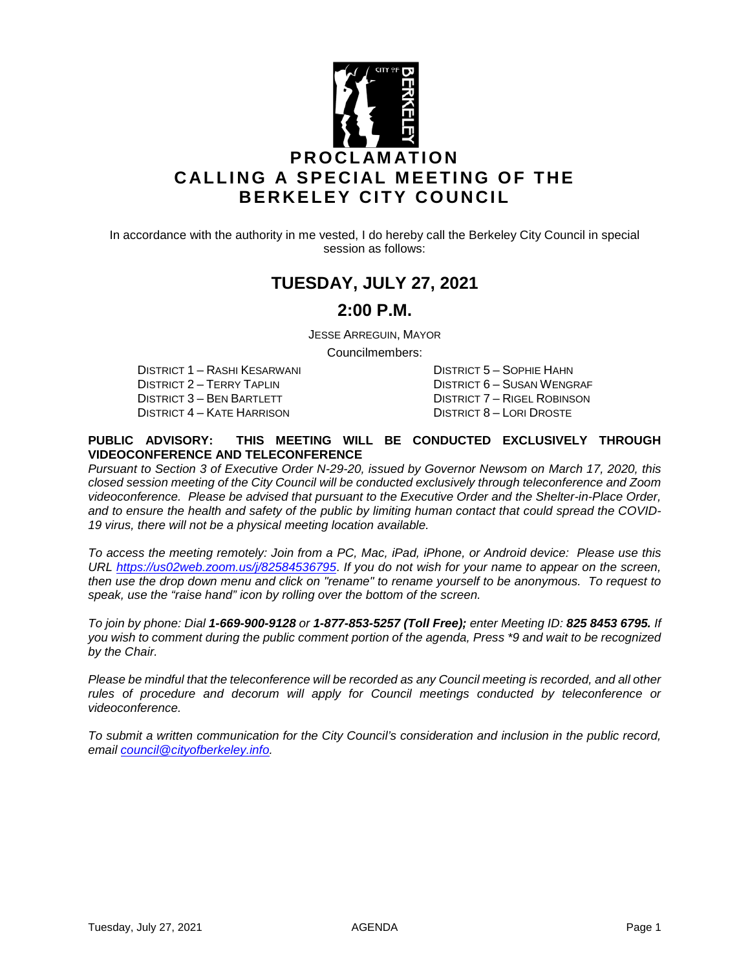

In accordance with the authority in me vested, I do hereby call the Berkeley City Council in special session as follows:

# **TUESDAY, JULY 27, 2021**

### **2:00 P.M.**

JESSE ARREGUIN, MAYOR

Councilmembers:

DISTRICT 1 – RASHI KESARWANI DISTRICT 5 – SOPHIE HAHN DISTRICT 3 – BEN BARTLETT DISTRICT 7 – RIGEL ROBINSON DISTRICT 4 – KATE HARRISON DISTRICT 8 – LORI DROSTE

DISTRICT 6 – SUSAN WENGRAF

#### **PUBLIC ADVISORY: THIS MEETING WILL BE CONDUCTED EXCLUSIVELY THROUGH VIDEOCONFERENCE AND TELECONFERENCE**

*Pursuant to Section 3 of Executive Order N-29-20, issued by Governor Newsom on March 17, 2020, this closed session meeting of the City Council will be conducted exclusively through teleconference and Zoom videoconference. Please be advised that pursuant to the Executive Order and the Shelter-in-Place Order, and to ensure the health and safety of the public by limiting human contact that could spread the COVID-19 virus, there will not be a physical meeting location available.* 

*To access the meeting remotely: Join from a PC, Mac, iPad, iPhone, or Android device: Please use this URL<https://us02web.zoom.us/j/82584536795>*. *If you do not wish for your name to appear on the screen, then use the drop down menu and click on "rename" to rename yourself to be anonymous. To request to speak, use the "raise hand" icon by rolling over the bottom of the screen.* 

*To join by phone: Dial 1-669-900-9128 or 1-877-853-5257 (Toll Free); enter Meeting ID: 825 8453 6795. If you wish to comment during the public comment portion of the agenda, Press \*9 and wait to be recognized by the Chair.* 

*Please be mindful that the teleconference will be recorded as any Council meeting is recorded, and all other rules of procedure and decorum will apply for Council meetings conducted by teleconference or videoconference.*

*To submit a written communication for the City Council's consideration and inclusion in the public record, email [council@cityofberkeley.info.](mailto:council@cityofberkeley.info)*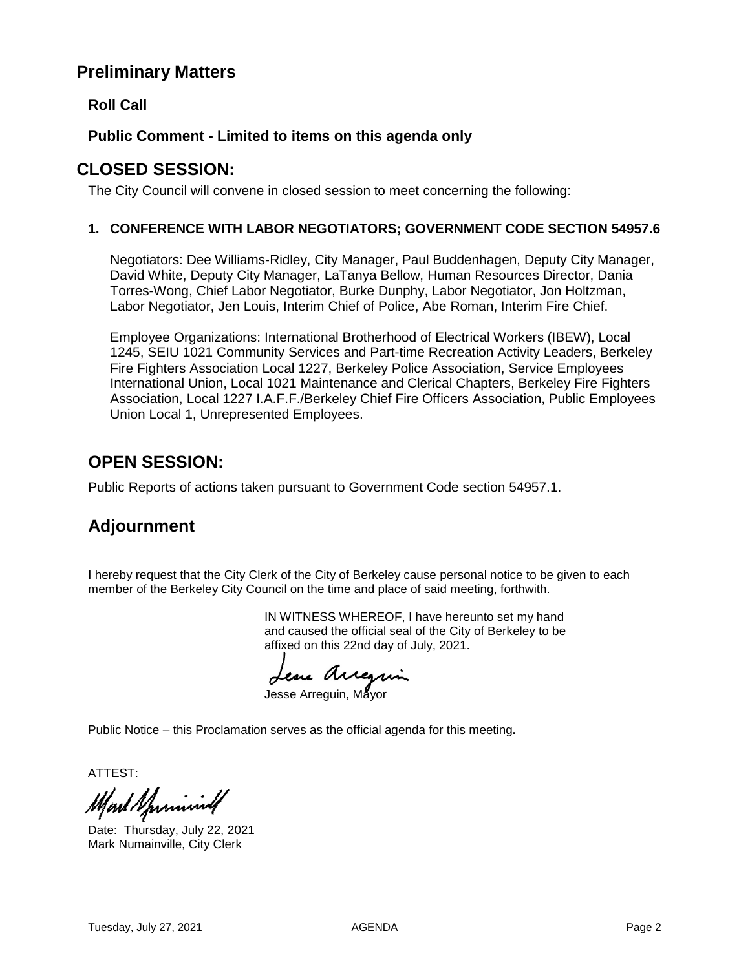## **Preliminary Matters**

**Roll Call**

### **Public Comment - Limited to items on this agenda only**

## **CLOSED SESSION:**

The City Council will convene in closed session to meet concerning the following:

#### **1. CONFERENCE WITH LABOR NEGOTIATORS; GOVERNMENT CODE SECTION 54957.6**

Negotiators: Dee Williams-Ridley, City Manager, Paul Buddenhagen, Deputy City Manager, David White, Deputy City Manager, LaTanya Bellow, Human Resources Director, Dania Torres-Wong, Chief Labor Negotiator, Burke Dunphy, Labor Negotiator, Jon Holtzman, Labor Negotiator, Jen Louis, Interim Chief of Police, Abe Roman, Interim Fire Chief.

Employee Organizations: International Brotherhood of Electrical Workers (IBEW), Local 1245, SEIU 1021 Community Services and Part-time Recreation Activity Leaders, Berkeley Fire Fighters Association Local 1227, Berkeley Police Association, Service Employees International Union, Local 1021 Maintenance and Clerical Chapters, Berkeley Fire Fighters Association, Local 1227 I.A.F.F./Berkeley Chief Fire Officers Association, Public Employees Union Local 1, Unrepresented Employees.

# **OPEN SESSION:**

Public Reports of actions taken pursuant to Government Code section 54957.1.

# **Adjournment**

I hereby request that the City Clerk of the City of Berkeley cause personal notice to be given to each member of the Berkeley City Council on the time and place of said meeting, forthwith.

> IN WITNESS WHEREOF, I have hereunto set my hand and caused the official seal of the City of Berkeley to be affixed on this 22nd day of July, 2021.

Jesue Aureguin

Public Notice – this Proclamation serves as the official agenda for this meeting**.**

ATTEST:

Mart Sprinning

Date: Thursday, July 22, 2021 Mark Numainville, City Clerk